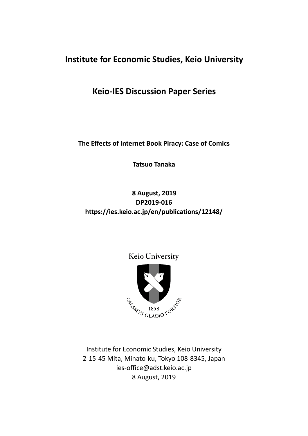## **Institute for Economic Studies, Keio University**

### **Keio-IES Discussion Paper Series**

**The Effects of Internet Book Piracy: Case of Comics**

**Tatsuo Tanaka**

### **8 August, 2019 DP2019-016 https://ies.keio.ac.jp/en/publications/12148/**

### Keio University



Institute for Economic Studies, Keio University 2-15-45 Mita, Minato-ku, Tokyo 108-8345, Japan ies-office@adst.keio.ac.jp 8 August, 2019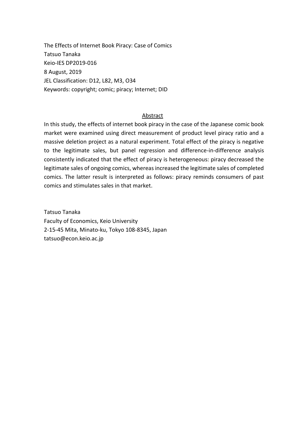The Effects of Internet Book Piracy: Case of Comics Tatsuo Tanaka Keio-IES DP2019-016 8 August, 2019 JEL Classification: D12, L82, M3, O34 Keywords: copyright; comic; piracy; Internet; DID

#### Abstract

In this study, the effects of internet book piracy in the case of the Japanese comic book market were examined using direct measurement of product level piracy ratio and a massive deletion project as a natural experiment. Total effect of the piracy is negative to the legitimate sales, but panel regression and difference-in-difference analysis consistently indicated that the effect of piracy is heterogeneous: piracy decreased the legitimate sales of ongoing comics, whereas increased the legitimate sales of completed comics. The latter result is interpreted as follows: piracy reminds consumers of past comics and stimulates sales in that market.

Tatsuo Tanaka Faculty of Economics, Keio University 2-15-45 Mita, Minato-ku, Tokyo 108-8345, Japan tatsuo@econ.keio.ac.jp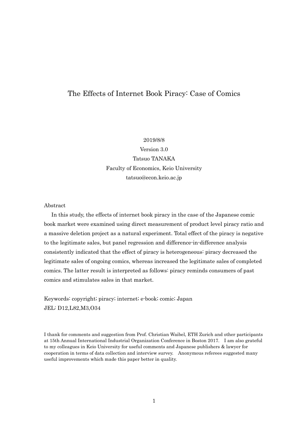### The Effects of Internet Book Piracy: Case of Comics

#### 2019/8/8

Version 3.0 Tatsuo TANAKA Faculty of Economics, Keio University tatsuo@econ.keio.ac.jp

#### Abstract

In this study, the effects of internet book piracy in the case of the Japanese comic book market were examined using direct measurement of product level piracy ratio and a massive deletion project as a natural experiment. Total effect of the piracy is negative to the legitimate sales, but panel regression and difference-in-difference analysis consistently indicated that the effect of piracy is heterogeneous: piracy decreased the legitimate sales of ongoing comics, whereas increased the legitimate sales of completed comics. The latter result is interpreted as follows: piracy reminds consumers of past comics and stimulates sales in that market.

Keywords: copyright; piracy; internet; e-book; comic; Japan JEL: D12,L82,M3,O34

I thank for comments and suggestion from Prof. Christian Waibel, ETH Zurich and other participants at 15th Annual International Industrial Organization Conference in Boston 2017. I am also grateful to my colleagues in Keio University for useful comments and Japanese publishers & lawyer for cooperation in terms of data collection and interview survey. Anonymous referees suggested many useful improvements which made this paper better in quality.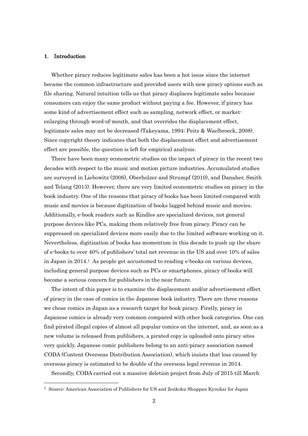#### 1. Introduction

-

Whether piracy reduces legitimate sales has been a hot issue since the internet became the common infrastructure and provided users with new piracy options such as file sharing. Natural intuition tells us that piracy displaces legitimate sales because consumers can enjoy the same product without paying a fee. However, if piracy has some kind of advertisement effect such as sampling, network effect, or marketenlarging through word-of-mouth, and that overrides the displacement effect, legitimate sales may not be decreased (Takeyama, 1994; Peitz & Waelbroeck, 2008). Since copyright theory indicates that both the displacement effect and advertisement effect are possible, the question is left for empirical analysis.

There have been many econometric studies on the impact of piracy in the recent two decades with respect to the music and motion picture industries. Accumulated studies are surveyed in Liebowitz (2006), Oberholzer and Strumpf (2010), and Danaher, Smith and Telang (2013). However, there are very limited econometric studies on piracy in the book industry. One of the reasons that piracy of books has been limited compared with music and movies is because digitization of books lagged behind music and movies. Additionally, e-book readers such as Kindles are specialized devices, not general purpose devices like PCs, making them relatively free from piracy. Piracy can be suppressed on specialized devices more easily due to the limited software working on it. Nevertheless, digitization of books has momentum in this decade to push up the share of e-books to over 40% of publishers' total net revenue in the US and over 10% of sales in Japan in 2014.1 As people get accustomed to reading e-books on various devices, including general purpose devices such as PCs or smartphones, piracy of books will become a serious concern for publishers in the near future.

The intent of this paper is to examine the displacement and/or advertisement effect of piracy in the case of comics in the Japanese book industry. There are three reasons we chose comics in Japan as a research target for book piracy. Firstly, piracy in Japanese comics is already very common compared with other book categories. One can find pirated illegal copies of almost all popular comics on the internet, and, as soon as a new volume is released from publishers, a pirated copy is uploaded onto piracy sites very quickly. Japanese comic publishers belong to an anti-piracy association named CODA (Content Overseas Distribution Association), which insists that loss caused by overseas piracy is estimated to be double of the overseas legal revenue in 2014.

Secondly, CODA carried out a massive deletion project from July of 2015 till March

<sup>1</sup> Source: American Association of Publishers for US and Zenkoku Shuppan Kyoukai for Japan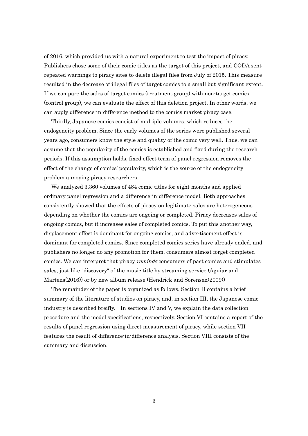of 2016, which provided us with a natural experiment to test the impact of piracy. Publishers chose some of their comic titles as the target of this project, and CODA sent repeated warnings to piracy sites to delete illegal files from July of 2015. This measure resulted in the decrease of illegal files of target comics to a small but significant extent. If we compare the sales of target comics (treatment group) with non-target comics (control group), we can evaluate the effect of this deletion project. In other words, we can apply difference-in-difference method to the comics market piracy case.

Thirdly, Japanese comics consist of multiple volumes, which reduces the endogeneity problem. Since the early volumes of the series were published several years ago, consumers know the style and quality of the comic very well. Thus, we can assume that the popularity of the comics is established and fixed during the research periods. If this assumption holds, fixed effect term of panel regression removes the effect of the change of comics' popularity, which is the source of the endogeneity problem annoying piracy researchers.

We analyzed 3,360 volumes of 484 comic titles for eight months and applied ordinary panel regression and a difference-in-difference model. Both approaches consistently showed that the effects of piracy on legitimate sales are heterogeneous depending on whether the comics are ongoing or completed. Piracy decreases sales of ongoing comics, but it increases sales of completed comics. To put this another way, displacement effect is dominant for ongoing comics, and advertisement effect is dominant for completed comics. Since completed comics series have already ended, and publishers no longer do any promotion for them, consumers almost forget completed comics. We can interpret that piracy *reminds* consumers of past comics and stimulates sales, just like "discovery" of the music title by streaming service (Aguiar and Martens(2016)) or by new album release (Hendrick and Sorensen(2009))

The remainder of the paper is organized as follows. Section II contains a brief summary of the literature of studies on piracy, and, in section III, the Japanese comic industry is described breifly. In sections IV and V, we explain the data collection procedure and the model specifications, respectively. Section VI contains a report of the results of panel regression using direct measurement of piracy, while section VII features the result of difference-in-difference analysis. Section VIII consists of the summary and discussion.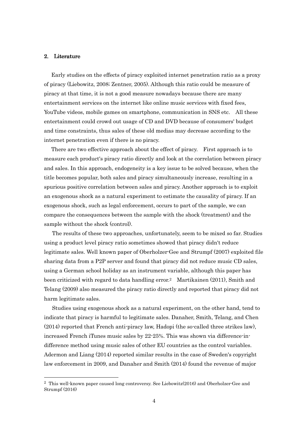#### 2. Literature

-

Early studies on the effects of piracy exploited internet penetration ratio as a proxy of piracy (Liebowitz, 2008; Zentner, 2005). Although this ratio could be measure of piracy at that time, it is not a good measure nowadays because there are many entertainment services on the internet like online music services with fixed fees, YouTube videos, mobile games on smartphone, communication in SNS etc. All these entertainment could crowd out usage of CD and DVD because of consumers' budget and time constraints, thus sales of these old medias may decrease according to the internet penetration even if there is no piracy.

There are two effective approach about the effect of piracy. First approach is to measure each product's piracy ratio directly and look at the correlation between piracy and sales. In this approach, endogeneity is a key issue to be solved because, when the title becomes popular, both sales and piracy simultaneously increase, resulting in a spurious positive correlation between sales and piracy. Another approach is to exploit an exogenous shock as a natural experiment to estimate the causality of piracy. If an exogenous shock, such as legal enforcement, occurs to part of the sample, we can compare the consequences between the sample with the shock (treatment) and the sample without the shock (control).

 The results of these two approaches, unfortunately, seem to be mixed so far. Studies using a product level piracy ratio sometimes showed that piracy didn't reduce legitimate sales. Well known paper of Oberholzer-Gee and Strumpf (2007) exploited file sharing data from a P2P server and found that piracy did not reduce music CD sales, using a German school holiday as an instrument variable, although this paper has been criticized with regard to data handling error.2 Martikainen (2011), Smith and Telang (2009) also measured the piracy ratio directly and reported that piracy did not harm legitimate sales.

 Studies using exogenous shock as a natural experiment, on the other hand, tend to indicate that piracy is harmful to legitimate sales. Danaher, Smith, Telang, and Chen (2014) reported that French anti-piracy law, Hadopi (the so-called three strikes law), increased French iTunes music sales by 22-25%. This was shown via difference-indifference method using music sales of other EU countries as the control variables. Adermon and Liang (2014) reported similar results in the case of Sweden's copyright law enforcement in 2009, and Danaher and Smith (2014) found the revenue of major

<sup>2</sup> This well-known paper caused long controversy. See Liebowitz(2016) and Oberholzer-Gee and Strumpf (2016)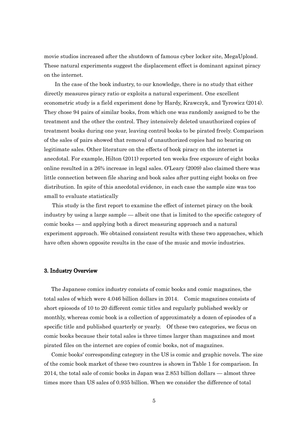movie studios increased after the shutdown of famous cyber locker site, MegaUpload. These natural experiments suggest the displacement effect is dominant against piracy on the internet.

 In the case of the book industry, to our knowledge, there is no study that either directly measures piracy ratio or exploits a natural experiment. One excellent econometric study is a field experiment done by Hardy, Krawczyk, and Tyrowicz (2014). They chose 94 pairs of similar books, from which one was randomly assigned to be the treatment and the other the control. They intensively deleted unauthorized copies of treatment books during one year, leaving control books to be pirated freely. Comparison of the sales of pairs showed that removal of unauthorized copies had no bearing on legitimate sales. Other literature on the effects of book piracy on the internet is anecdotal. For example, Hilton (2011) reported ten weeks free exposure of eight books online resulted in a 26% increase in legal sales. O'Leary (2009) also claimed there was little connection between file sharing and book sales after putting eight books on free distribution. In spite of this anecdotal evidence, in each case the sample size was too small to evaluate statistically

 This study is the first report to examine the effect of internet piracy on the book industry by using a large sample — albeit one that is limited to the specific category of comic books — and applying both a direct measuring approach and a natural experiment approach. We obtained consistent results with these two approaches, which have often shown opposite results in the case of the music and movie industries.

#### 3. Industry Overview

The Japanese comics industry consists of comic books and comic magazines, the total sales of which were 4.046 billion dollars in 2014. Comic magazines consists of short epiosods of 10 to 20 different comic titles and regularly published weekly or monthly, whereas comic book is a collection of approximately a dozen of episodes of a specific title and published quarterly or yearly. Of these two categories, we focus on comic books because their total sales is three times larger than magazines and most pirated files on the internet are copies of comic books, not of magazines.

Comic books' corresponding category in the US is comic and graphic novels. The size of the comic book market of these two countres is shown in Table 1 for comparison. In 2014, the total sale of comic books in Japan was 2.853 billion dollars — almost three times more than US sales of 0.935 billion. When we consider the difference of total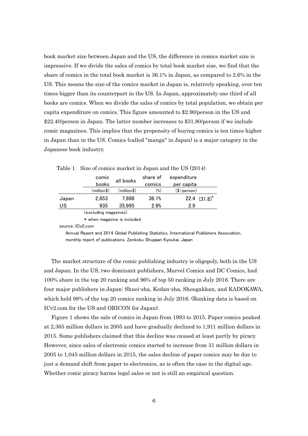book market size between Japan and the US, the difference in comics market size is impressive. If we divide the sales of comics by total book market size, we find that the share of comics in the total book market is 36.1% in Japan, as compared to 2.6% in the US. This means the size of the comics market in Japan is, relatively speaking, over ten times bigger than its counterpart in the US. In Japan, approximately one third of all books are comics. When we divide the sales of comics by total population, we obtain per capita expenditure on comics. This figure amounted to \$2.90/person in the US and \$22.40/person in Japan. The latter number increases to \$31.80/person if we include comic magazines. This implies that the propensity of buying comics is ten times higher in Japan than in the US. Comics (called "manga" in Japan) is a major category in the Japanese book industry.

|       | comic<br>books        | all books   | share of<br>comics | expenditure<br>per capita |
|-------|-----------------------|-------------|--------------------|---------------------------|
|       | (million\$)           | (million\$) | $(\%)$             | $(\$/person)$             |
| Japan | 2.853                 | 7.898       | 36.1%              | 22.4 $(31.8)^*$           |
| US    | 935                   | 35,995      | 2.6%               | 29                        |
|       | (excluding magazines) |             |                    |                           |

| Table 1 Size of comics market in Japan and the US (2014) |  |  |  |  |  |  |  |  |
|----------------------------------------------------------|--|--|--|--|--|--|--|--|
|----------------------------------------------------------|--|--|--|--|--|--|--|--|

\* when magazine is included

source: ICv2.com

 Annual Report and 2014 Global Publishing Statistics, International Publishers Association, monthly report of publications, Zenkoku Shuppan Kyoukai, Japan

The market structure of the comic publishing industry is oligopoly, both in the US and Japan. In the US, two dominant publishers, Marvel Comics and DC Comics, had 100% share in the top 20 ranking and 96% of top 50 ranking in July 2016. There are four major publishers in Japan: Shuei-sha, Kodan-sha, Shougakkan, and KADOKAWA, which held 98% of the top 20 comics ranking in July 2016. (Ranking data is based on ICv2.com for the US and ORICON for Japan).

Figure 1 shows the sale of comics in Japan from 1993 to 2015. Paper comics peaked at 2,365 million dollars in 2005 and have gradually declined to 1,911 million dollars in 2015. Some publishers claimed that this decline was caused at least partly by piracy. However, since sales of electronic comics started to increase from 31 million dollars in 2005 to 1,045 million dollars in 2015, the sales decline of paper comics may be due to just a demand shift from paper to electronics, as is often the case in the digital age. Whether comic piracy harms legal sales or not is still an empirical question.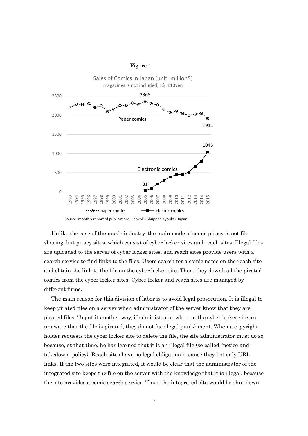



Unlike the case of the music industry, the main mode of comic piracy is not file sharing, but piracy sites, which consist of cyber locker sites and reach sites. Illegal files are uploaded to the server of cyber locker sites, and reach sites provide users with a search service to find links to the files. Users search for a comic name on the reach site and obtain the link to the file on the cyber locker site. Then, they download the pirated comics from the cyber locker sites. Cyber locker and reach sites are managed by different firms.

The main reason for this division of labor is to avoid legal prosecution. It is illegal to keep pirated files on a server when administrator of the server know that they are pirated files. To put it another way, if administrator who run the cyber locker site are unaware that the file is pirated, they do not face legal punishment. When a copyright holder requests the cyber locker site to delete the file, the site administrator must do so because, at that time, he has learned that it is an illegal file (so-called "notice-andtakedown" policy). Reach sites have no legal obligation because they list only URL links. If the two sites were integrated, it would be clear that the administrator of the integrated site keeps the file on the server with the knowledge that it is illegal, because the site provides a comic search service. Thus, the integrated site would be shut down

Source:monthly report of publications, Zenkoku Shuppan Kyoukai, Japan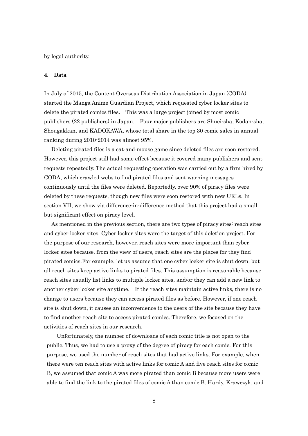by legal authority.

#### 4. Data

In July of 2015, the Content Overseas Distribution Association in Japan (CODA) started the Manga Anime Guardian Project, which requested cyber locker sites to delete the pirated comics files. This was a large project joined by most comic publishers (22 publishers) in Japan. Four major publishers are Shuei-sha, Kodan-sha, Shougakkan, and KADOKAWA, whose total share in the top 30 comic sales in annual ranking during 2010-2014 was almost 95%.

Deleting pirated files is a cat-and-mouse game since deleted files are soon restored. However, this project still had some effect because it covered many publishers and sent requests repeatedly. The actual requesting operation was carried out by a firm hired by CODA, which crawled webs to find pirated files and sent warning messages continuously until the files were deleted. Reportedly, over 90% of piracy files were deleted by these requests, though new files were soon restored with new URLs. In section VII, we show via difference-in-difference method that this project had a small but significant effect on piracy level.

As mentioned in the previous section, there are two types of piracy sites: reach sites and cyber locker sites. Cyber locker sites were the target of this deletion project. For the purpose of our research, however, reach sites were more important than cyber locker sites because, from the view of users, reach sites are the places for they find pirated comics.For example, let us assume that one cyber locker site is shut down, but all reach sites keep active links to pirated files. This assumption is reasonable because reach sites usually list links to multiple locker sites, and/or they can add a new link to another cyber locker site anytime. If the reach sites maintain active links, there is no change to users because they can access pirated files as before. However, if one reach site is shut down, it causes an inconvenience to the users of the site because they have to find another reach site to access pirated comics. Therefore, we focused on the activities of reach sites in our research.

Unfortunately, the number of downloads of each comic title is not open to the public. Thus, we had to use a proxy of the degree of piracy for each comic. For this purpose, we used the number of reach sites that had active links. For example, when there were ten reach sites with active links for comic A and five reach sites for comic B, we assumed that comic A was more pirated than comic B because more users were able to find the link to the pirated files of comic A than comic B. Hardy, Krawczyk, and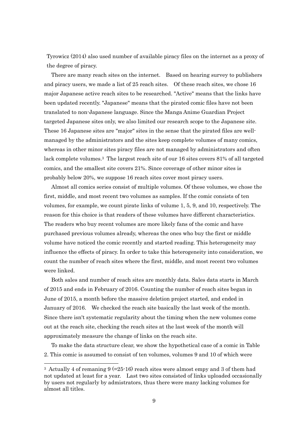Tyrowicz (2014) also used number of available piracy files on the internet as a proxy of the degree of piracy.

There are many reach sites on the internet. Based on hearing survey to publishers and piracy users, we made a list of 25 reach sites. Of these reach sites, we chose 16 major Japanese active reach sites to be researched. "Active" means that the links have been updated recently. "Japanese" means that the pirated comic files have not been translated to non-Japanese language. Since the Manga Anime Guardian Project targeted Japanese sites only, we also limited our research scope to the Japanese site. These 16 Japanese sites are "major" sites in the sense that the pirated files are wellmanaged by the administrators and the sites keep complete volumes of many comics, whereas in other minor sites piracy files are not managed by administrators and often lack complete volumes.3 The largest reach site of our 16 sites covers 81% of all targeted comics, and the smallest site covers 21%. Since coverage of other minor sites is probably below 20%, we suppose 16 reach sites cover most piracy users.

Almost all comics series consist of multiple volumes. Of these volumes, we chose the first, middle, and most recent two volumes as samples. If the comic consists of ten volumes, for example, we count pirate links of volume 1, 5, 9, and 10, respectively. The reason for this choice is that readers of these volumes have different characteristics. The readers who buy recent volumes are more likely fans of the comic and have purchased previous volumes already, whereas the ones who buy the first or middle volume have noticed the comic recently and started reading. This heterogeneity may influence the effects of piracy. In order to take this heterogeneity into consideration, we count the number of reach sites where the first, middle, and most recent two volumes were linked.

Both sales and number of reach sites are monthly data. Sales data starts in March of 2015 and ends in February of 2016. Counting the number of reach sites began in June of 2015, a month before the massive deletion project started, and ended in January of 2016. We checked the reach site basically the last week of the month. Since there isn't systematic regularity about the timing when the new volumes come out at the reach site, checking the reach sites at the last week of the month will approximately measure the change of links on the reach site.

To make the data structure clear, we show the hypothetical case of a comic in Table 2. This comic is assumed to consist of ten volumes, volumes 9 and 10 of which were

-

<sup>3</sup> Actually 4 of remaning 9 (=25-16) reach sites were almost empy and 3 of them had not updated at least for a year. Last two sites consisted of links uploaded occasionally by users not regularly by admistrators, thus there were many lacking volumes for almost all titles.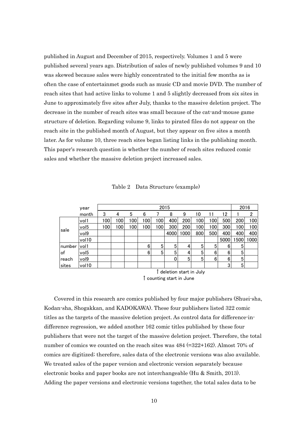published in August and December of 2015, respectively. Volumes 1 and 5 were published several years ago. Distribution of sales of newly published volumes 9 and 10 was skewed because sales were highly concentrated to the initial few months as is often the case of entertainmet goods such as music CD and movie DVD. The number of reach sites that had active links to volume 1 and 5 slightly decreased from six sites in June to approximately five sites after July, thanks to the massive deletion project. The decrease in the number of reach sites was small because of the cat-and-mouse game structure of deletion. Regarding volume 9, links to pirated files do not appear on the reach site in the published month of August, but they appear on five sites a month later. As for volume 10, three reach sites began listing links in the publishing month. This paper's research question is whether the number of reach sites reduced comic sales and whether the massive deletion project increased sales.

|  | Table 2 Data Structure (example) |  |  |
|--|----------------------------------|--|--|
|--|----------------------------------|--|--|

|        | year                                        |     |     |     |     |     | 2015 |      |     |     |      | 2016 |                |
|--------|---------------------------------------------|-----|-----|-----|-----|-----|------|------|-----|-----|------|------|----------------|
|        | month                                       | 3   |     | 5   | 6   |     | 8    | 9    | 10  |     | 12   |      | $\overline{2}$ |
|        | vol1                                        | 100 | 100 | 100 | 100 | 100 | 400  | 200  | 100 | 100 | 500  | 200  | 100            |
|        | vol <sub>5</sub>                            | 100 | 100 | 100 | 100 | 100 | 300  | 200  | 100 | 100 | 300  | 100  | 100            |
| sale   | vol9                                        |     |     |     |     |     | 4000 | 1000 | 800 | 500 | 400  | 400  | 400            |
|        | vol10                                       |     |     |     |     |     |      |      |     |     | 5000 | 1500 | 1000           |
| number | vol1                                        |     |     |     | 6   | 5   | 5    | 4    | 5   | 5   | 6    | 5    |                |
| of     | vol <sub>5</sub>                            |     |     |     | 6   | 5   | 5    | 4    | 5   | 6   | 6    | 5    |                |
| reach  | vol9                                        |     |     |     |     |     | 0    | 5    | 5   | 6   | 6    | 5    |                |
| sites  | vol10                                       |     |     |     |     |     |      |      |     |     | 3    | 5    |                |
|        | $\hat{\restriction}$ deletion start in July |     |     |     |     |     |      |      |     |     |      |      |                |

 <sup>↑</sup>counting start in June

Covered in this research are comics published by four major publishers (Shuei-sha, Kodan-sha, Shogakkan, and KADOKAWA). These four publishers listed 322 comic titles as the targets of the massive deletion project. As control data for difference-indifference regression, we added another 162 comic titles published by these four publishers that were not the target of the massive deletion project. Therefore, the total number of comics we counted on the reach sites was 484 (=322+162). Almost 70% of comics are digitized; therefore, sales data of the electronic versions was also available. We treated sales of the paper version and electronic version separately because electronic books and paper books are not interchangeable (Hu & Smith, 2013). Adding the paper versions and electronic versions together, the total sales data to be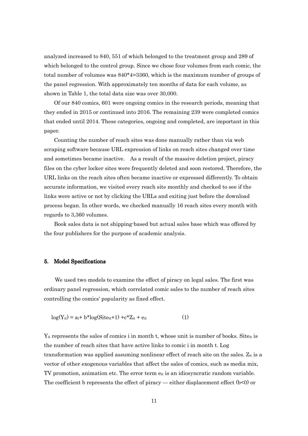analyzed increased to 840, 551 of which belonged to the treatment group and 289 of which belonged to the control group. Since we chose four volumes from each comic, the total number of volumes was 840\*4=3360, which is the maximum number of groups of the panel regression. With approximately ten months of data for each volume, as shown in Table 1, the total data size was over 30,000.

Of our 840 comics, 601 were ongoing comics in the research periods, meaning that they ended in 2015 or continued into 2016. The remaining 239 were completed comics that ended until 2014. These categories, ongoing and completed, are important in this paper.

Counting the number of reach sites was done manually rather than via web scraping software because URL expression of links on reach sites changed over time and sometimes became inactive. As a result of the massive deletion project, piracy files on the cyber locker sites were frequently deleted and soon restored. Therefore, the URL links on the reach sites often became inactive or expressed differently. To obtain accurate information, we visited every reach site monthly and checked to see if the links were active or not by clicking the URLs and exiting just before the download process began. In other words, we checked manually 16 reach sites every month with regards to 3,360 volumes.

Book sales data is not shipping-based but actual sales base which was offered by the four publishers for the purpose of academic analysis.

#### 5. Model Specifications

 We used two models to examine the effect of piracy on legal sales. The first was ordinary panel regression, which correlated comic sales to the number of reach sites controlling the comics' popularity as fixed effect.

$$
log(Yit) = ai + b*log(Siteit+1) + c*Zit + eit
$$
 (1)

 $Y_{it}$  represents the sales of comics i in month t, whose unit is number of books. Site<sub>it</sub> is the number of reach sites that have active links to comic i in month t. Log transformation was applied assuming nonlinear effect of reach site on the sales.  $Z_{it}$  is a vector of other exogenous variables that affect the sales of comics, such as media mix, TV promotion, animation etc. The error term  $e_{it}$  is an idiosyncratic random variable. The coefficient b represents the effect of piracy — either displacement effect  $(b<0)$  or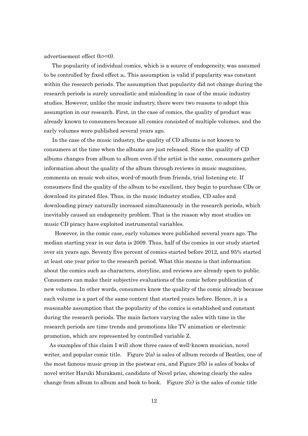advertisement effect (b>=0).

 The popularity of individual comics, which is a source of endogeneity, was assumed to be controlled by fixed effect ai. This assumption is valid if popularity was constant within the research periods. The assumption that popularity did not change during the research periods is surely unrealistic and misleading in case of the music industry studies. However, unlike the music industry, there were two reasons to adopt this assumption in our research. First, in the case of comics, the quality of product was already known to consumers because all comics consisted of multiple volumes, and the early volumes were published several years ago.

In the case of the music industry, the quality of CD albums is not known to consumers at the time when the albums are just released. Since the quality of CD albums changes from album to album even if the artist is the same, consumers gather information about the quality of the album through reviews in music magazines, comments on music web sites, word-of-mouth from friends, trial listening etc. If consumers find the quality of the album to be excellent, they begin to purchase CDs or download its pirated files. Thus, in the music industry studies, CD sales and downloading piracy naturally increased simultaneously in the research periods, which inevitably caused an endogeneity problem. That is the reason why most studies on music CD piracy have exploited instrumental variables.

 However, in the comic case, early volumes were published several years ago. The median starting year in our data is 2009. Thus, half of the comics in our study started over six years ago. Seventy five percent of comics started before 2012, and 95% started at least one year prior to the research period. What this means is that information about the comics such as characters, storyline, and reviews are already open to public. Consumers can make their subjective evaluations of the comic before publication of new volumes. In other words, consumers know the quality of the comic already because each volume is a part of the same content that started years before. Hence, it is a reasonable assumption that the popularity of the comics is established and constant during the research periods. The main factors varying the sales with time in the research periods are time trends and promotions like TV animation or electronic promotion, which are represented by controlled variable Z.

 As examples of this claim I will show three cases of well-known musician, novel writer, and popular comic title. Figure  $2(a)$  is sales of album records of Beatles, one of the most famous music group in the postwar era, and Figure 2(b) is sales of books of novel writer Haruki Murakami, candidate of Novel prize, showing clearly the sales change from album to album and book to book. Figure  $2(c)$  is the sales of comic title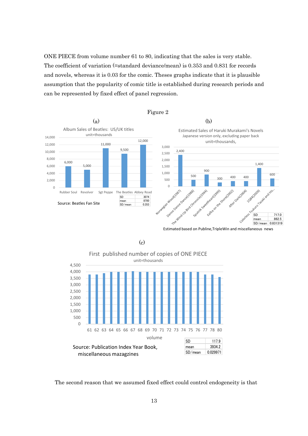ONE PIECE from volume number 61 to 80, indicating that the sales is very stable. The coefficient of variation (=standard deviance/mean) is 0.353 and 0.831 for records and novels, whereas it is 0.03 for the comic. Theses graphs indicate that it is plausible assumption that the popularity of comic title is established during research periods and can be represented by fixed effect of panel regression.



Estimated based on Publine,TripleWin and miscellaneous news



(c)

The second reason that we assumed fixed effect could control endogeneity is that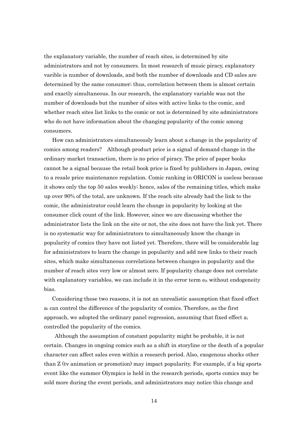the explanatory variable, the number of reach sites, is determined by site administrators and not by consumers. In most research of music piracy, explanatory varible is number of downloads, and both the number of downloads and CD sales are determined by the same consumer; thus, correlation between them is almost certain and exactly simultaneous. In our research, the explanatory variable was not the number of downloads but the number of sites with active links to the comic, and whether reach sites list links to the comic or not is determined by site administrators who do not have information about the changing popularity of the comic among consumers.

How can administrators simultaneously learn about a change in the popularity of comics among readers? Although product price is a signal of demand change in the ordinary market transaction, there is no price of piracy. The price of paper books cannot be a signal because the retail book price is fixed by publishers in Japan, owing to a resale price maintenance regulation. Comic ranking in ORICON is useless because it shows only the top 50 sales weekly; hence, sales of the remaining titles, which make up over 90% of the total, are unknown. If the reach site already had the link to the comic, the administrator could learn the change in popularity by looking at the consumer click count of the link. However, since we are discussing whether the administrator lists the link on the site or not, the site does not have the link yet. There is no systematic way for administrators to simultaneously know the change in popularity of comics they have not listed yet. Therefore, there will be considerable lag for administrators to learn the change in popularity and add new links to their reach sites, which make simultaneous correlations between changes in popularity and the number of reach sites very low or almost zero. If popularity change does not correlate with explanatory variables, we can include it in the error term  $e_{it}$  without endogeneity bias.

 Considering these two reasons, it is not an unrealistic assumption that fixed effect ai can control the difference of the popularity of comics. Therefore, as the first approach, we adopted the ordinary panel regression, assuming that fixed effect  $a_i$ controlled the popularity of the comics.

 Although the assumption of constant popularity might be probable, it is not certain. Changes in ongoing comics such as a shift in storyline or the death of a popular character can affect sales even within a research period. Also, exogenous shocks other than Z (tv animation or promotion) may impact popularity. For example, if a big sports event like the summer Olympics is held in the research periods, sports comics may be sold more during the event periods, and administrators may notice this change and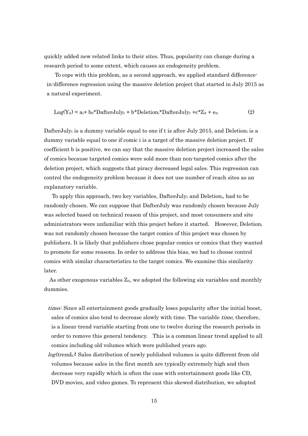quickly added new related links to their sites. Thus, popularity can change during a research period to some extent, which causes an endogeneity problem.

To cope with this problem, as a second approach, we applied standard differencein-difference regression using the massive deletion project that started in July 2015 as a natural experiment.

$$
Log(Y_{it}) = a_i + b_0 * DafterJuly_t + b * Deletion_i * DafterJuly_t + c * Z_{it} + e_{it}
$$
 (2)

DafterJulyt is a dummy variable equal to one if t is after July 2015, and Deletion iis a dummy variable equal to one if comic i is a target of the massive deletion project. If coefficient b is positive, we can say that the massive deletion project increased the sales of comics because targeted comics were sold more than non-targeted comics after the deletion project, which suggests that piracy decreased legal sales. This regression can control the endogeneity problem because it does not use number of reach sites as an explanatory variable.

To apply this approach, two key variables, Dafter-Julyt and Deletion, had to be randomly chosen. We can suppose that DafterJuly was randomly chosen because July was selected based on technical reason of this project, and most consumers and site administrators were unfamiliar with this project before it started. However, Deletion<sup>i</sup> was not randomly chosen because the target comics of this project was chosen by publishers. It is likely that publishers chose popular comics or comics that they wanted to promote for some reasons. In order to address this bias, we had to choose control comics with similar characteristics to the target comics. We examine this similarity later.

As other exogenous variables  $Z_{it}$ , we adopted the following six variables and monthly dummies.

- timet: Since all entertainment goods gradually loses popularity after the initial boost, sales of comics also tend to decrease slowly with time. The variable *time*, therefore, is a linear trend variable starting from one to twelve during the research periods in order to remove this general tendency. This is a common linear trend applied to all comics including old volumes which were published years ago.
- $log(trend_{it})$ : Sales distribution of newly published volumes is quite different from old volumes because sales in the first month are typically extremely high and then decrease very rapidly which is often the case with entertainment goods like CD, DVD movies, and video games. To represent this skewed distribution, we adopted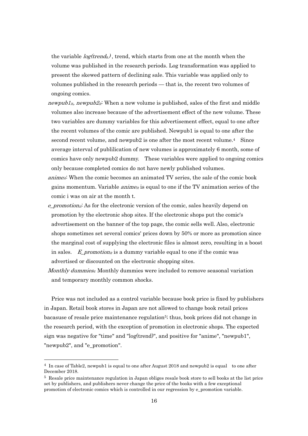the variable  $log(trend_{\rm{t}})$ , trend, which starts from one at the month when the volume was published in the research periods. Log transformation was applied to present the skewed pattern of declining sale. This variable was applied only to volumes published in the research periods — that is, the recent two volumes of ongoing comics.

- *newpubl<sub>it</sub>*, *newpub2<sub>it</sub>*: When a new volume is published, sales of the first and middle volumes also increase because of the advertisement effect of the new volume. These two variables are dummy variables for this advertisement effect, equal to one after the recent volumes of the comic are published. Newpub1 is equal to one after the second recent volume, and newpub2 is one after the most recent volume.4 Since average interval of publilication of new volumes is approximately 6 month, some of comics have only newpub2 dummy. These variables were applied to ongoing comics only because completed comics do not have newly published volumes.
- $\textit{amine}_{it}:$  When the comic becomes an animated TV series, the sale of the comic book gains momentum. Variable *anime<sub>it</sub>* is equal to one if the TV animation series of the comic i was on air at the month t.
- $e$  *promotionii*: As for the electronic version of the comic, sales heavily depend on promotion by the electronic shop sites. If the electronic shops put the comic's advertisement on the banner of the top page, the comic sells well. Also, electronic shops sometimes set several comics' prices down by 50% or more as promotion since the marginal cost of supplying the electronic files is almost zero, resulting in a boost in sales.  $E\_promotion_{it}$  is a dummy variable equal to one if the comic was advertised or discounted on the electronic shopping sites.
- *Monthly dummies<sub>t</sub>*: Monthly dummies were included to remove seasonal variation and temporary monthly common shocks.

Price was not included as a control variable because book price is fixed by publishers in Japan. Retail book stores in Japan are not allowed to change book retail prices bacasuse of resale price maintenance regulation5; thus, book prices did not change in the research period, with the exception of promotion in electronic shops. The expected sign was negative for "time" and "log(trend)", and positive for "anime", "newpub1", "newpub2", and "e\_promotion".

1

<sup>&</sup>lt;sup>4</sup> In case of Table2, newpub1 is equal to one after August 2018 and newpub2 is equal to one after December 2018.

<sup>5</sup> Resale price maintenance regulation in Japan obliges resale book store to sell books at the list price set by publishers, and publishers never change the price of the books with a few exceptional promotion of electronic comics which is controlled in our regression by e\_promotion variable.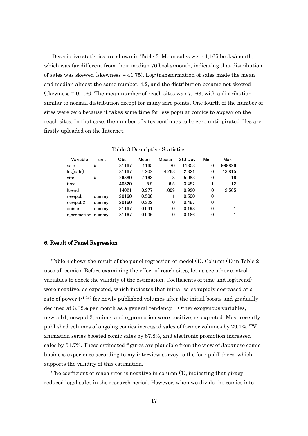Descriptive statistics are shown in Table 3. Mean sales were 1,165 books/month, which was far different from their median 70 books/month, indicating that distribution of sales was skewed (skewness  $=$  41.75). Log-transformation of sales made the mean and median almost the same number, 4.2, and the distribution became not skewed  $\text{ (skewness} = 0.106)$ . The mean number of reach sites was 7.163, with a distribution similar to normal distribution except for many zero points. One fourth of the number of sites were zero because it takes some time for less popular comics to appear on the reach sites. In that case, the number of sites continues to be zero until pirated files are firstly uploaded on the Internet.

| Variable          | unit  | Obs   | Mean  | Median | <b>Std Dev</b> | Min | Max    |
|-------------------|-------|-------|-------|--------|----------------|-----|--------|
| sale              | #     | 31167 | 1165  | 70     | 11353          | 0   | 999826 |
| log(sale)         |       | 31167 | 4.202 | 4.263  | 2.321          | 0   | 13.815 |
| site              | #     | 26880 | 7.163 | 8      | 5.083          | 0   | 16     |
| time              |       | 40320 | 6.5   | 6.5    | 3.452          |     | 12     |
| <b>Itrend</b>     |       | 14021 | 0.977 | 1.099  | 0.920          | 0   | 2.565  |
| newpub1           | dummy | 20160 | 0.500 |        | 0.500          | 0   |        |
| newpub2           | dummy | 20160 | 0.322 | 0      | 0.467          | 0   |        |
| anime             | dummy | 31167 | 0.041 | 0      | 0.198          | 0   |        |
| e promotion dummy |       | 31167 | 0.036 | 0      | 0.186          | 0   |        |

Table 3 Descriptive Statistics

#### 6. Result of Panel Regression

Table 4 shows the result of the panel regression of model (1). Column (1) in Table 2 uses all comics. Before examining the effect of reach sites, let us see other control variables to check the validity of the estimation. Coefficients of time and log(trend) were negative, as expected, which indicates that initial sales rapidly decreased at a rate of power t<sup>-1.242</sup> for newly published volumes after the initial boosts and gradually declined at 3.32% per month as a general tendency. Other exogenous variables, newpub1, newpub2, anime, and e\_promotion were positive, as expected. Most recently published volumes of ongoing comics increased sales of former volumes by 29.1%. TV animation series boosted comic sales by 87.8%, and electronic promotion increased sales by 51.7%. These estimated figures are plausible from the view of Japanese comic business experience according to my interview survey to the four publishers, which supports the validity of this estimation.

The coefficient of reach sites is negative in column (1), indicating that piracy reduced legal sales in the research period. However, when we divide the comics into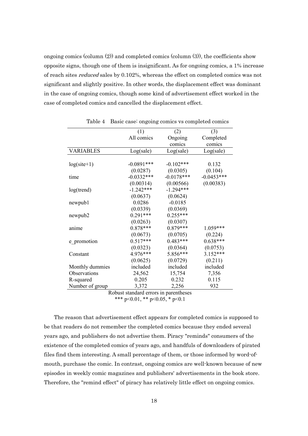ongoing comics (column  $(2)$ ) and completed comics (column  $(3)$ ), the coefficients show opposite signs, though one of them is insignificant. As for ongoing comics, a 1% increase of reach sites *reduced* sales by 0.102%, whereas the effect on completed comics was not significant and slightly positive. In other words, the displacement effect was dominant in the case of ongoing comics, though some kind of advertisement effect worked in the case of completed comics and cancelled the displacement effect.

|                  | (1)                        | (2)             | (3)          |
|------------------|----------------------------|-----------------|--------------|
|                  | All comics                 | Ongoing         | Completed    |
|                  |                            | comics          | comics       |
| <b>VARIABLES</b> | Log(sale)                  | Log(sale)       | Log(sale)    |
|                  |                            |                 |              |
| $log(site+1)$    | $-0.0891***$               | $-0.102***$     | 0.132        |
|                  | (0.0287)                   | (0.0305)        | (0.104)      |
| time             | $-0.0332***$               | $-0.0178***$    | $-0.0453***$ |
|                  | (0.00314)                  | (0.00566)       | (0.00383)    |
| log(trend)       | $-1.242***$                | $-1.294***$     |              |
|                  | (0.0637)                   | (0.0624)        |              |
| newpub1          | 0.0286                     | $-0.0185$       |              |
|                  | (0.0339)                   | (0.0369)        |              |
| newpub2          | $0.291***$                 | $0.255***$      |              |
|                  | (0.0263)                   | (0.0307)        |              |
| anime            | $0.878***$                 | $0.879***$      | 1.059***     |
|                  | (0.0673)                   | (0.0705)        | (0.224)      |
| e promotion      | $0.517***$                 | $0.483***$      | $0.638***$   |
|                  | (0.0323)                   | (0.0364)        | (0.0753)     |
| Constant         | 4.976***                   | 5.856***        | $3.152***$   |
|                  | (0.0625)                   | (0.0729)        | (0.211)      |
| Monthly dummies  | included                   | included        | included     |
| Observations     | 24,562                     | 15,754          | 7,356        |
| R-squared        | 0.205                      | 0.232           | 0.115        |
| Number of group  | 3,372                      | 2,256           | 932          |
|                  | Distance in the stand same | محمد مطلعين متم |              |

Table 4 Basic case: ongoing comics vs completed comics

Robust standard errors in parentheses \*\*\* p<0.01, \*\* p<0.05, \* p<0.1

The reason that advertisement effect appears for completed comics is supposed to be that readers do not remember the completed comics because they ended several years ago, and publishers do not advertise them. Piracy "reminds" consumers of the existence of the completed comics of years ago, and handfuls of downloaders of pirated files find them interesting. A small percentage of them, or those informed by word-ofmouth, purchase the comic. In contrast, ongoing comics are well-known because of new episodes in weekly comic magazines and publishers' advertisements in the book store. Therefore, the "remind effect" of piracy has relatively little effect on ongoing comics.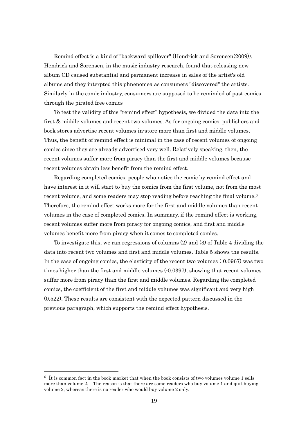Remind effect is a kind of "backward spillover" (Hendrick and Sorencen(2009)). Hendrick and Sorensen, in the music industry research, found that releasing new album CD caused substantial and permanent increase in sales of the artist's old albums and they interpted this phnenomea as consumers "discovered" the artists. Similarly in the comic industry, consumers are supposed to be reminded of past comics through the pirated free comics

To test the validity of this "remind effect" hypothesis, we divided the data into the first & middle volumes and recent two volumes. As for ongoing comics, publishers and book stores advertise recent volumes in-store more than first and middle volumes. Thus, the benefit of remind effect is minimal in the case of recent volumes of ongoing comics since they are already advertised very well. Relatively speaking, then, the recent volumes suffer more from piracy than the first and middle volumes because recent volumes obtain less benefit from the remind effect.

Regarding completed comics, people who notice the comic by remind effect and have interest in it will start to buy the comics from the first volume, not from the most recent volume, and some readers may stop reading before reaching the final volume.<sup>6</sup> Therefore, the remind effect works more for the first and middle volumes than recent volumes in the case of completed comics. In summary, if the remind effect is working, recent volumes suffer more from piracy for ongoing comics, and first and middle volumes benefit more from piracy when it comes to completed comics.

To investigate this, we ran regressions of columns (2) and (3) of Table 4 dividing the data into recent two volumes and first and middle volumes. Table 5 shows the results. In the case of ongoing comics, the elasticity of the recent two volumes (-0.0967) was two times higher than the first and middle volumes (-0.0397), showing that recent volumes suffer more from piracy than the first and middle volumes. Regarding the completed comics, the coefficient of the first and middle volumes was significant and very high (0.522). These results are consistent with the expected pattern discussed in the previous paragraph, which supports the remind effect hypothesis.

-

 $6\;$  It is common fact in the book market that when the book consists of two volumes volume 1 sells more than volume 2. The reason is that there are some readers who buy volume 1 and quit buying volume 2, whereas there is no reader who would buy volume 2 only.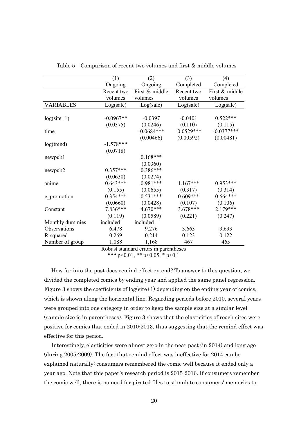|                  | (1)         | (2)            | (3)          | (4)            |
|------------------|-------------|----------------|--------------|----------------|
|                  | Ongoing     | Ongoing        | Completed    | Completed      |
|                  | Recent two  | First & middle | Recent two   | First & middle |
|                  | volumes     | volumes        | volumes      | volumes        |
| <b>VARIABLES</b> | Log(sale)   | Log(sale)      | Log(sale)    | Log(sale)      |
|                  |             |                |              |                |
| $log(site+1)$    | $-0.0967**$ | $-0.0397$      | $-0.0401$    | $0.522***$     |
|                  | (0.0375)    | (0.0246)       | (0.110)      | (0.115)        |
| time             |             | $-0.0684***$   | $-0.0529***$ | $-0.0377***$   |
|                  |             | (0.00466)      | (0.00592)    | (0.00481)      |
| log(trend)       | $-1.578***$ |                |              |                |
|                  | (0.0718)    |                |              |                |
| newpub1          |             | $0.168***$     |              |                |
|                  |             | (0.0360)       |              |                |
| newpub2          | $0.357***$  | $0.386***$     |              |                |
|                  | (0.0630)    | (0.0274)       |              |                |
| anime            | $0.643***$  | $0.981***$     | $1.167***$   | $0.953***$     |
|                  | (0.155)     | (0.0655)       | (0.317)      | (0.314)        |
| e promotion      | $0.354***$  | $0.531***$     | $0.609***$   | $0.664***$     |
|                  | (0.0660)    | (0.0428)       | (0.107)      | (0.106)        |
| Constant         | 7.836***    | 4.670***       | 3.678***     | 2.179***       |
|                  | (0.119)     | (0.0589)       | (0.221)      | (0.247)        |
| Monthly dummies  | included    | included       |              |                |
| Observations     | 6,478       | 9,276          | 3,663        | 3,693          |
| R-squared        | 0.269       | 0.214          | 0.123        | 0.122          |
| Number of group  | 1,088       | 1,168          | 467          | 465            |

Table 5 Comparison of recent two volumes and first & middle volumes

Robust standard errors in parentheses

\*\*\* p<0.01, \*\* p<0.05, \* p<0.1

How far into the past does remind effect extend? To answer to this question, we divided the completed comics by ending year and applied the same panel regression. Figure 3 shows the coefficients of log(site+1) depending on the ending year of comics, which is shown along the horizontal line. Regarding periods before 2010, several years were grouped into one category in order to keep the sample size at a similar level (sample size is in parentheses). Figure 3 shows that the elasticities of reach sites were positive for comics that ended in 2010-2013, thus suggesting that the remind effect was effective for this period.

Interestingly, elasticities were almost zero in the near past (in 2014) and long ago (during 2005-2009). The fact that remind effect was ineffective for 2014 can be explained naturally: consumers remembered the comic well because it ended only a year ago. Note that this paper's research period is 2015-2016. If consumers remember the comic well, there is no need for pirated files to stimulate consumers' memories to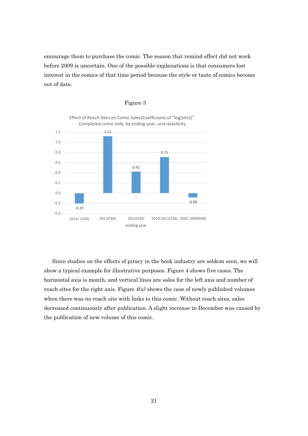encourage them to purchase the comic. The reason that remind effect did not work before 2009 is uncertain. One of the possible explanations is that consumers lost interest in the comics of that time period because the style or taste of comics become out of date.



#### Figure 3

Since studies on the effects of piracy in the book industry are seldom seen, we will show a typical example for illustrative purposes. Figure 4 shows five cases. The horizontal axis is month, and vertical lines are sales for the left axis and number of reach sites for the right axis. Figure  $4(a)$  shows the case of newly published volumes when there was no reach site with links to this comic. Without reach sites, sales decreased continuously after publication. A slight increase in December was caused by the publication of new volume of this comic.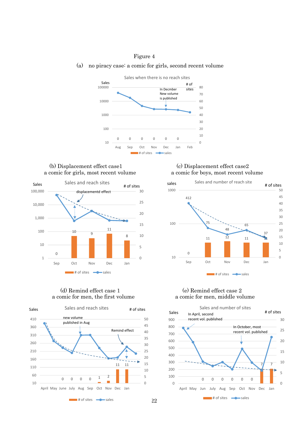#### Figure 4

(a) no piracy case: a comic for girls, second recent volume



## a comic for girls, most recent volume



## a comic for men, the first volume



# (b) Displacement effect case1 (c) Displacement effect case2<br>
comic for girls, most recent volume a comic for boys, most recent volume



# (d) Remind effect case 1 (e) Remind effect case 2<br>omic for men, the first volume a comic for men, middle volume

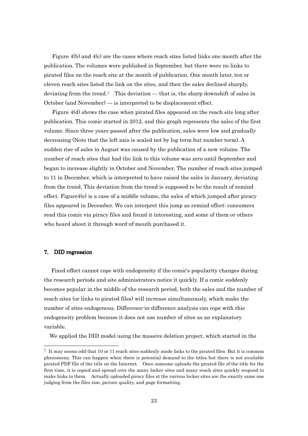Figure 4(b) and 4(c) are the cases where reach sites listed links one month after the publication. The volumes were published in September, but there were no links to pirated files on the reach site at the month of publication. One month later, ten or eleven reach sites listed the link on the sites, and then the sales declined sharply, deviating from the trend.<sup>7</sup> This deviation — that is, the sharp downshift of sales in October (and November) — is interpreted to be displacement effect.

Figure 4(d) shows the case when pirated files appeared on the reach site long after publication. This comic started in 2012, and this graph represents the sales of the first volume. Since three years passed after the publication, sales were low and gradually decreasing (Note that the left axis is scaled not by log term but number term). A sudden rise of sales in August was caused by the publication of a new volume. The number of reach sites that had the link to this volume was zero until September and began to increase slightly in October and November. The number of reach sites jumped to 11 in December, which is interpreted to have raised the sales in January, deviating from the trend. This deviation from the trend is supposed to be the result of remind effect. Figure4 $(e)$  is a case of a middle volume, the sales of which jumped after piracy files appeared in December. We can interpret this jump as remind effect: consumers read this comic via piracy files and found it interesting, and some of them or others who heard about it through word-of-mouth purchased it.

#### 7. DID regression

-

Fixed effect cannot cope with endogeneity if the comic's popularity changes during the research periods and site administrators notice it quickly. If a comic suddenly becomes popular in the middle of the research period, both the sales and the number of reach sites (or links to pirated files) will increase simultaneously, which make the number of sites endogenous. Difference-in-difference analysis can cope with this endogeneity problem because it does not use number of sites as an explanatory variable.

We applied the DID model using the massive deletion project, which started in the

<sup>7</sup> It may seems odd that 10 or 11 reach sites suddenly made links to the pirated files. But it is common phenomena. This can happen when there is potential demand to the titles but there is not available pirated PDF file of the title on the Internet. Once someone uploads the pirated file of the title for the first time, it is copied and spread over the many locker sites and many reach sites quickly respond to make links to them. Actually uploaded piracy files at the various locker sites are the exactly same one judging from the files size, picture quality, and page formatting.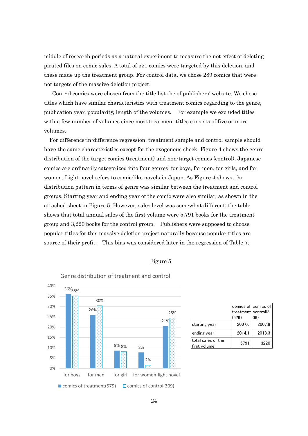middle of research periods as a natural experiment to measure the net effect of deleting pirated files on comic sales. A total of 551 comics were targeted by this deletion, and these made up the treatment group. For control data, we chose 289 comics that were not targets of the massive deletion project.

Control comics were chosen from the title list the of publishers' website. We chose titles which have similar characteristics with treatment comics regarding to the genre, publication year, popularity, length of the volumes. For example we excluded titles with a few number of volumes since most treatment titles consists of five or more volumes.

 For difference-in-difference regression, treatment sample and control sample should have the same characteristics except for the exogenous shock. Figure 4 shows the genre distribution of the target comics (treatment) and non-target comics (control). Japanese comics are ordinarily categorized into four genres: for boys, for men, for girls, and for women. Light novel refers to comic-like novels in Japan. As Figure 4 shows, the distribution pattern in terms of genre was similar between the treatment and control groups. Starting year and ending year of the comic were also similar, as shown in the attached sheet in Figure 5. However, sales level was somewhat different; the table shows that total annual sales of the first volume were 5,791 books for the treatment group and 3,220 books for the control group. Publishers were supposed to choose popular titles for this massive deletion project naturally because popular titles are source of their profit. This bias was considered later in the regression of Table 7.

#### Figure 5



|                                    | comics of comics of |        |
|------------------------------------|---------------------|--------|
|                                    | treatment control(3 |        |
|                                    | (579)               | 09)    |
| starting year                      | 2007.6              | 2007.8 |
| ending year                        | 2014.1              | 2013.3 |
| total sales of the<br>first volume | 5791                | 3220   |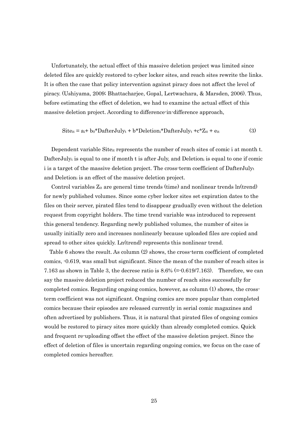Unfortunately, the actual effect of this massive deletion project was limited since deleted files are quickly restored to cyber locker sites, and reach sites rewrite the links. It is often the case that policy intervention against piracy does not affect the level of piracy. (Ushiyama, 2009; Bhattacharjee, Gopal, Lertwachara, & Marsden, 2006). Thus, before estimating the effect of deletion, we had to examine the actual effect of this massive deletion project. According to difference-in-difference approach,

$$
Siteit = ai + b0*DafterJulyt + b*Deletioni*DafterJulyt + c*Zit + eit
$$
 (3)

Dependent variable Siteit represents the number of reach sites of comic i at month t. DafterJuly<sub>t</sub> is equal to one if month t is after July, and Deletion is equal to one if comic i is a target of the massive deletion project. The cross-term coefficient of DafterJulyt and Deletioni is an effect of the massive deletion project.

Control variables  $Z_{it}$  are general time trends (time) and nonlinear trends ln(trend) for newly published volumes. Since some cyber locker sites set expiration dates to the files on their server, pirated files tend to disappear gradually even without the deletion request from copyright holders. The time trend variable was introduced to represent this general tendency. Regarding newly published volumes, the number of sites is usually initially zero and increases nonlinearly because uploaded files are copied and spread to other sites quickly. Ln(trend) represents this nonlinear trend.

Table 6 shows the result. As column (2) shows, the cross-term coefficient of completed comics, -0.619, was small but significant. Since the mean of the number of reach sites is 7.163 as shown in Table 3, the decrese ratio is  $8.6\%$  (= $-0.619/7.163$ ). Therefore, we can say the massive deletion project reduced the number of reach sites successfully for completed comics. Regarding ongoing comics, however, as column (1) shows, the crossterm coefficient was not significant. Ongoing comics are more popular than completed comics because their episodes are released currently in serial comic magazines and often advertised by publishers. Thus, it is natural that pirated files of ongoing comics would be restored to piracy sites more quickly than already completed comics. Quick and frequent re-uploading offset the effect of the massive deletion project. Since the effect of deletion of files is uncertain regarding ongoing comics, we focus on the case of completed comics hereafter.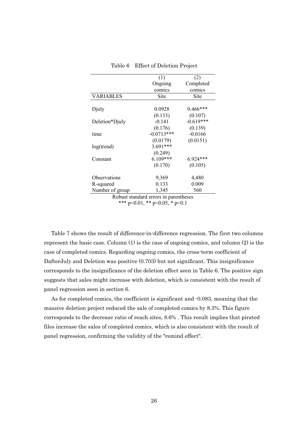|                                       | (1)          | (2)         |  |  |  |  |  |  |
|---------------------------------------|--------------|-------------|--|--|--|--|--|--|
|                                       | Ongoing      | Completed   |  |  |  |  |  |  |
|                                       | comics       | comics      |  |  |  |  |  |  |
| <b>VARIABLES</b>                      | Site         | Site        |  |  |  |  |  |  |
|                                       |              |             |  |  |  |  |  |  |
| Djuly                                 | 0.0928       | $0.466***$  |  |  |  |  |  |  |
|                                       | (0.133)      | (0.107)     |  |  |  |  |  |  |
| Deletion*Djuly                        | $-0.141$     | $-0.619***$ |  |  |  |  |  |  |
|                                       | (0.176)      | (0.139)     |  |  |  |  |  |  |
| time                                  | $-0.0713***$ | $-0.0166$   |  |  |  |  |  |  |
|                                       | (0.0179)     | (0.0151)    |  |  |  |  |  |  |
| log(trend)                            | $3.691***$   |             |  |  |  |  |  |  |
|                                       | (0.249)      |             |  |  |  |  |  |  |
| Constant                              | $6.109***$   | $6.924***$  |  |  |  |  |  |  |
|                                       | (0.170)      | (0.105)     |  |  |  |  |  |  |
| Observations                          | 9,369        | 4,480       |  |  |  |  |  |  |
| R-squared                             | 0.133        | 0.009       |  |  |  |  |  |  |
| Number of group                       | 1,345        | 560         |  |  |  |  |  |  |
| Robust standard errors in parentheses |              |             |  |  |  |  |  |  |

Table 6 Effect of Deletion Project

\*\*\* p<0.01, \*\* p<0.05, \* p<0.1

Table 7 shows the result of difference-in-difference regression. The first two columns represent the basic case. Column (1) is the case of ongoing comics, and column (2) is the case of completed comics. Regarding ongoing comics, the cross-term coefficient of DafterJuly and Deletion was positive (0.703) but not significant. This insignificance corresponds to the insignificance of the deletion effect seen in Table 6. The positive sign suggests that sales might increase with deletion, which is consistent with the result of panel regression seen in section 6.

As for completed comics, the coefficient is significant and -0.083, meaning that the massive deletion project reduced the sale of completed comics by 8.3%. This figure corresponds to the decrease ratio of reach sites, 8.6% . This result implies that pirated files increase the sales of completed comics, which is also consistent with the result of panel regression, confirming the validity of the "remind effect".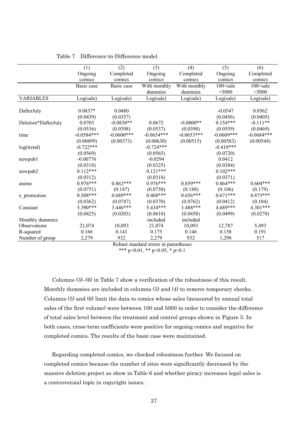|                     | (1)          | (2)           | (3)          | (4)          | (5)           | (6)                       |
|---------------------|--------------|---------------|--------------|--------------|---------------|---------------------------|
|                     | Ongoing      | Completed     | Ongoing      | Completed    | Ongoing       | Completed                 |
|                     | comics       | comics        | comics       | comics       | comics        | comics                    |
|                     | Basic case   | Basic case    | With monthly | With monthly | $100$ < sale  | 100 <sale< td=""></sale<> |
|                     |              |               | dummies      | dummies      | $<$ 5000      | $<$ 5000                  |
| <b>VARIABLES</b>    | Log(sale)    | Log(sale)     | Log(sale)    | Log(sale)    | Log(sale)     | Log(sale)                 |
|                     |              |               |              |              |               |                           |
| DafterJuly          | $0.0837*$    | 0.0480        |              |              | $-0.0547$     | 0.0562                    |
|                     | (0.0439)     | (0.0357)      |              |              | (0.0456)      | (0.0405)                  |
| Deletion*DafterJuly | 0.0703       | $-0.0830**$   | 0.0672       | $-0.0800**$  | $0.154***$    | $-0.111**$                |
|                     | (0.0536)     | (0.0398)      | (0.0537)     | (0.0398)     | (0.0559)      | (0.0469)                  |
| time                | $-0.0584***$ | $-0.0600$ *** | $-0.0654***$ | $-0.0653***$ | $-0.0609$ *** | $-0.0684***$              |
|                     | (0.00499)    | (0.00373)     | (0.00630)    | (0.00515)    | (0.00583)     | (0.00544)                 |
| log(trend)          | $-0.722***$  |               | $-0.724***$  |              | $-0.410***$   |                           |
|                     | (0.0569)     |               | (0.0565)     |              | (0.0720)      |                           |
| newpub1             | $-0.00776$   |               | $-0.0294$    |              | 0.0412        |                           |
|                     | (0.0318)     |               | (0.0325)     |              | (0.0384)      |                           |
| newpub2             | $0.112***$   |               | $0.121***$   |              | $0.102***$    |                           |
|                     | (0.0312)     |               | (0.0318)     |              | (0.0371)      |                           |
| anime               | $0.976***$   | $0.862***$    | $0.976***$   | $0.859***$   | $0.864***$    | $0.604***$                |
|                     | (0.0751)     | (0.187)       | (0.0750)     | (0.188)      | (0.106)       | (0.179)                   |
| e promotion         | $0.508***$   | $0.689***$    | $0.408***$   | $0.656***$   | $0.671***$    | $0.875***$                |
|                     | (0.0362)     | (0.0747)      | (0.0370)     | (0.0762)     | (0.0412)      | (0.104)                   |
| Constant            | 5.390***     | $3.446***$    | 5.434***     | 3.488***     | 4.689***      | 4.301***                  |
|                     | (0.0425)     | (0.0203)      | (0.0610)     | (0.0458)     | (0.0499)      | (0.0278)                  |
| Monthly dummies     |              |               | included     | included     |               |                           |
| Observations        | 21,074       | 10,093        | 21,074       | 10,093       | 12,787        | 5,493                     |
| R-squared           | 0.166        | 0.141         | 0.175        | 0.146        | 0.158         | 0.191                     |
| Number of group     | 2,279        | 932           | 2,279        | 932          | 1,298         | 517                       |

Table 7 Difference-in-Difference model

Robust standard errors in parentheses \*\*\* p<0.01, \*\* p<0.05, \* p<0.1

 Columns (3)–(6) in Table 7 show a verification of the robustness of this result. Monthly dummies are included in columns (3) and (4) to remove temporary shocks. Columns (5) and (6) limit the data to comics whose sales (measured by annual total sales of the first volume) were between 100 and 5000 in order to consider the difference of total sales level between the treatment and control groups shown in Figure 5. In both cases, cross-term coefficients were positive for ongoing comics and negative for completed comics. The results of the basic case were maintained.

 Regarding completed comics, we checked robustness further. We focused on completed comics because the number of sites were significantly decreased by the massive deletion project as show in Table 6 and whether piracy increases legal sales is a controversial topic in copyright issues.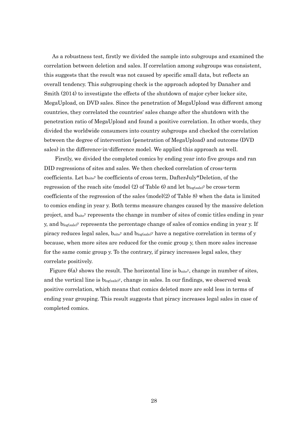As a robustness test, firstly we divided the sample into subgroups and examined the correlation between deletion and sales. If correlation among subgroups was consistent, this suggests that the result was not caused by specific small data, but reflects an overall tendency. This subgrouping check is the approach adopted by Danaher and Smith (2014) to investigate the effects of the shutdown of major cyber locker site, MegaUpload, on DVD sales. Since the penetration of MegaUpload was different among countries, they correlated the countries' sales change after the shutdown with the penetration ratio of MegaUpload and found a positive correlation. In other words, they divided the worldwide consumers into country subgroups and checked the correlation between the degree of intervention (penetration of MegaUpload) and outcome (DVD sales) in the difference-in-difference model. We applied this approach as well.

Firstly, we divided the completed comics by ending year into five groups and ran DID regressions of sites and sales. We then checked correlation of cross-term coefficients. Let bsitey be coefficients of cross term, DafterJuly\*Deletion, of the regression of the reach site (model  $(2)$  of Table 6) and let  $b_{log(sale)}$ <sup>y</sup> be cross-term coefficients of the regression of the sales (model(2) of Table 8) when the data is limited to comics ending in year y. Both terms measure changes caused by the massive deletion project, and bsitey represents the change in number of sites of comic titles ending in year y, and blog(sale)y represents the percentage change of sales of comics ending in year y. If piracy reduces legal sales,  $b_{\text{site}}$  and  $b_{\text{log(sale)}}$  have a negative correlation in terms of y because, when more sites are reduced for the comic group y, then more sales increase for the same comic group y. To the contrary, if piracy increases legal sales, they correlate positively.

Figure  $6(a)$  shows the result. The horizontal line is  $b_{site}$ , change in number of sites, and the vertical line is  $b_{log(sale)}$ , change in sales. In our findings, we observed weak positive correlation, which means that comics deleted more are sold less in terms of ending year grouping. This result suggests that piracy increases legal sales in case of completed comics.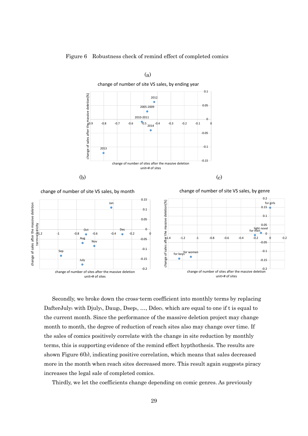

Figure 6 Robustness check of remind effect of completed comics

 Secondly, we broke down the cross-term coefficient into monthly terms by replacing DafterJuly<sub>t</sub> with Djuly<sub>t</sub>, Daug<sub>t</sub>, Dsep<sub>t, ...</sub>, Ddec<sub>t,</sub> which are equal to one if t is equal to the current month. Since the performance of the massive deletion project may change month to month, the degree of reduction of reach sites also may change over time. If the sales of comics positively correlate with the change in site reduction by monthly terms, this is supporting evidence of the remind effect hypthothesis. The results are shown Figure 6(b), indicating positive correlation, which means that sales decreased more in the month when reach sites decreased more. This result again suggests piracy increases the legal sale of completed comics.

Thirdly, we let the coefficients change depending on comic genres. As previously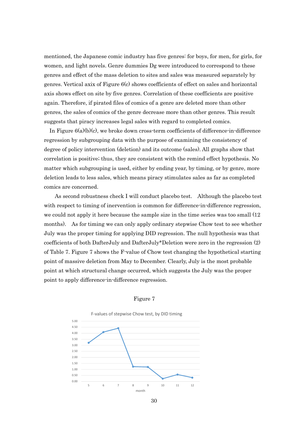mentioned, the Japanese comic industry has five genres: for boys, for men, for girls, for women, and light novels. Genre dummies Dg were introduced to correspond to these genres and effect of the mass deletion to sites and sales was measured separately by genres. Vertical axix of Figure 6(c) shows coefficients of effect on sales and horizontal axis shows effect on site by five genres. Correlation of these coefficients are positive again. Therefore, if pirated files of comics of a genre are deleted more than other genres, the sales of comics of the genre decrease more than other genres. This result suggests that piracy increases legal sales with regard to completed comics.

In Figure  $6(a)(b)(c)$ , we broke down cross-term coefficients of difference-in-difference regression by subgrouping data with the purpose of examining the consistency of degree of policy intervention (deletion) and its outcome (sales). All graphs show that correlation is positive; thus, they are consistent with the remind effect hypothesis. No matter which subgrouping is used, either by ending year, by timing, or by genre, more deletion leads to less sales, which means piracy stimulates sales as far as completed comics are concerned.

 As second robustness check I will conduct placebo test. Although the placebo test with respect to timing of inervention is common for difference-in-difference regression, we could not apply it here because the sample size in the time series was too small (12 months). As for timing we can only apply ordinary stepwise Chow test to see whether July was the proper timing for applying DID regression. The null hypothesis was that coefficients of both DafterJuly and DafterJuly\*Deletion were zero in the regression (2) of Table 7. Figure 7 shows the F-value of Chow test changing the hypothetical starting point of massive deletion from May to December. Clearly, July is the most probable point at which structural change occurred, which suggests the July was the proper point to apply difference-in-difference regression.





30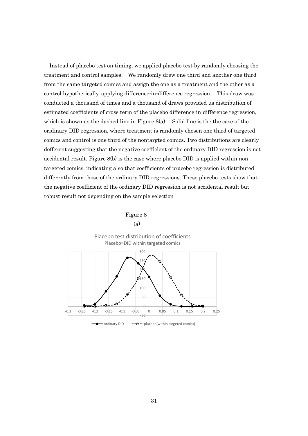Instead of placebo test on timing, we applied placebo test by randomly choosing the treatment and control samples. We randomly drew one third and another one third from the same targeted comics and assign the one as a treatment and the other as a control hypothetically, applying difference-in-difference regression. This draw was conducted a thousand of times and a thousand of draws provided us distribution of estimated coefficients of cross term of the placebo difference-in-difference regression, which is shown as the dashed line in Figure  $8(a)$ . Solid line is the the case of the oridinary DID regression, where treatment is randomly chosen one third of targeted comics and control is one third of the nontargted comics. Two distributions are clearly defferent suggesting that the negative coefficient of the ordinary DID regression is not accidental result. Figure 8(b) is the case where placebo DID is applied within non targeted comics, indicating also that coefficients of pracebo regression is distributed differently from those of the ordinary DID regressions. These placebo tests show that the negative coefficient of the ordinary DID regression is not accidental result but robust result not depending on the sample selection



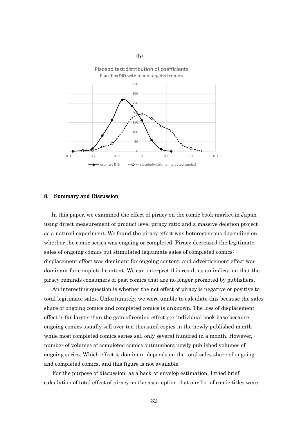

#### 8. Summary and Discussion

(b)

In this paper, we examined the effect of piracy on the comic book market in Japan using direct measurement of product level piracy ratio and a massive deletion project as a natural experiment. We found the piracy effect was heterogeneous depending on whether the comic series was ongoing or completed. Piracy decreased the legitimate sales of ongoing comics but stimulated legitimate sales of completed comics: displacement effect was dominant for ongoing content, and advertisement effect was dominant for completed content. We can interpret this result as an indication that the piracy reminds consumers of past comics that are no longer promoted by publishers.

An interesting question is whether the net effect of piracy is negative or positive to total legitimate sales. Unfortunately, we were unable to calculate this because the sales share of ongoing comics and completed comics is unknown. The loss of displacement effect is far larger than the gain of remind effect per individual book base because ongoing comics usually sell over ten thousand copies in the newly published month while most completed comics series sell only several hundred in a month. However, number of volumes of completed comics outnumbers newly published volumes of ongoing series. Which effect is dominant depends on the total sales share of ongoing and completed comics, and this figure is not available.

For the purpose of discussion, as a back-of-envelop estimation, I tried brief calculation of total effect of piracy on the assumption that our list of comic titles were

32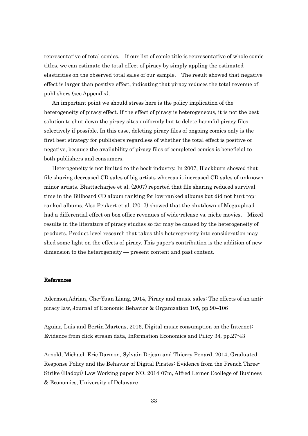representative of total comics. If our list of comic title is representative of whole comic titles, we can estimate the total effect of piracy by simply appling the estimated elasticities on the observed total sales of our sample. The result showed that negative effect is larger than positive effect, indicating that piracy reduces the total revenue of publishers (see Appendix).

 An important point we should stress here is the policy implication of the heterogeneity of piracy effect. If the effect of piracy is heterogeneous, it is not the best solution to shut down the piracy sites uniformly but to delete harmful piracy files selectively if possible. In this case, deleting piracy files of ongoing comics only is the first best strategy for publishers regardless of whether the total effect is positive or negative, because the availability of piracy files of completed comics is beneficial to both publishers and consumers.

 Heterogeneity is not limited to the book industry. In 2007, Blackburn showed that file sharing decreased CD sales of big artists whereas it increased CD sales of unknown minor artists. Bhattacharjee et al. (2007) reported that file sharing reduced survival time in the Billboard CD album ranking for low-ranked albums but did not hurt topranked albums. Also Peukert et al. (2017) showed that the shutdown of Megaupload had a differential effect on box office revenues of wide-release vs. niche movies. Mixed results in the literature of piracy studies so far may be caused by the heterogeneity of products. Product level research that takes this heterogeneity into consideration may shed some light on the effects of piracy. This paper's contribution is the addition of new dimension to the heterogeneity — present content and past content.

#### References

Adermon,Adrian, Che-Yuan Liang, 2014, Piracy and music sales: The effects of an antipiracy law, Journal of Economic Behavior & Organization 105, pp.90–106

Aguiar, Luis and Bertin Martens, 2016, Digital music consumption on the Internet: Evidence from click stream data, Information Economics and Pilicy 34, pp.27-43

Arnold, Michael, Eric Darmon, Sylvain Dejean and Thierry Penard, 2014, Graduated Response Policy and the Behavior of Digital Pirates: Evidence from the French Three-Strike (Hadopi) Law Working paper NO. 2014-07m, Alfred Lerner Coollege of Business & Economics, University of Delaware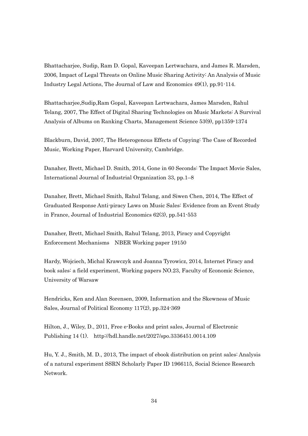Bhattacharjee, Sudip, Ram D. Gopal, Kaveepan Lertwachara, and James R. Marsden, 2006, Impact of Legal Threats on Online Music Sharing Activity: An Analysis of Music Industry Legal Actions, The Journal of Law and Economics 49(1), pp.91-114.

Bhattacharjee,Sudip,Ram Gopal, Kaveepan Lertwachara, James Marsden, Rahul Telang, 2007, The Effect of Digital Sharing Technologies on Music Markets: A Survival Analysis of Albums on Ranking Charts, Management Science 53(9), pp1359-1374

Blackburn, David, 2007, The Heterogenous Effects of Copying: The Case of Recorded Music, Working Paper, Harvard University, Cambridge.

Danaher, Brett, Michael D. Smith, 2014, Gone in 60 Seconds: The Impact Movie Sales, International Journal of Industrial Organization 33, pp.1–8

Danaher, Brett, Michael Smith, Rahul Telang, and Siwen Chen, 2014, The Effect of Graduated Response Anti-piracy Laws on Music Sales: Evidence from an Event Study in France, Journal of Industrial Economics 62(3), pp.541-553

Danaher, Brett, Michael Smith, Rahul Telang, 2013, Piracy and Copyright Enforcement Mechanisms NBER Working paper 19150

Hardy, Wojciech, Michal Krawczyk and Joanna Tyrowicz, 2014, Internet Piracy and book sales: a field experiment, Working papers NO.23, Faculty of Economic Science, University of Warsaw

Hendricks, Ken and Alan Sorensen, 2009, Information and the Skewness of Music Sales, Journal of Political Economy 117(2), pp.324-369

Hilton, J., Wiley, D., 2011, Free e-Books and print sales, Journal of Electronic Publishing 14 (1). http://hdl.handle.net/2027/spo.3336451.0014.109

Hu, Y. J., Smith, M. D., 2013, The impact of ebook distribution on print sales: Analysis of a natural experiment SSRN Scholarly Paper ID 1966115, Social Science Research Network.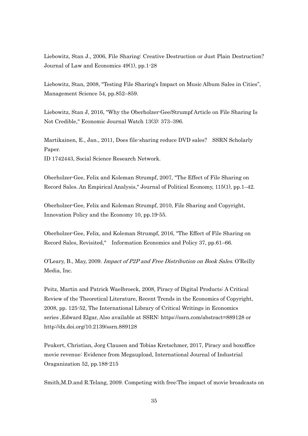Liebowitz, Stan J., 2006, File Sharing: Creative Destruction or Just Plain Destruction? Journal of Law and Economics 49(1), pp.1-28

Liebowitz, Stan, 2008, ''Testing File Sharing's Impact on Music Album Sales in Cities'', Management Science 54, pp.852–859.

Liebowitz, Stan J, 2016, "Why the Oberholzer-Gee/Strumpf Article on File Sharing Is Not Credible," Economic Journal Watch 13(3): 373–396.

Martikainen, E., Jan., 2011, Does file-sharing reduce DVD sales? SSRN Scholarly Paper.

ID 1742443, Social Science Research Network.

Oberholzer-Gee, Felix and Koleman Strumpf, 2007, "The Effect of File Sharing on Record Sales. An Empirical Analysis," Journal of Political Economy, 115(1), pp.1–42.

Oberholzer-Gee, Felix and Koleman Strumpf, 2010, File Sharing and Copyright, Innovation Policy and the Economy 10, pp.19-55.

Oberholzer-Gee, Felix, and Koleman Strumpf, 2016, "The Effect of File Sharing on Record Sales, Revisited," Information Economics and Policy 37, pp.61–66.

O'Leary, B., May, 2009. Impact of P2P and Free Distribution on Book Sales. O'Reilly Media, Inc.

Peitz, Martin and Patrick Waelbroeck, 2008, Piracy of Digital Products: A Critical Review of the Theoretical Literature, Recent Trends in the Economics of Copyright, 2008, pp. 125-52, The International Library of Critical Writings in Economics series ,Edward Elgar, Also available at SSRN: https://ssrn.com/abstract=889128 or http://dx.doi.org/10.2139/ssrn.889128

Peukert, Christian, Jorg Clausen and Tobias Kretschmer, 2017, Piracy and boxoffice movie revenue: Evidence from Megaupload, International Journal of Industrial Oraganization 52, pp.188-215

Smith,M.D.and R.Telang, 2009. Competing with free:The impact of movie broadcasts on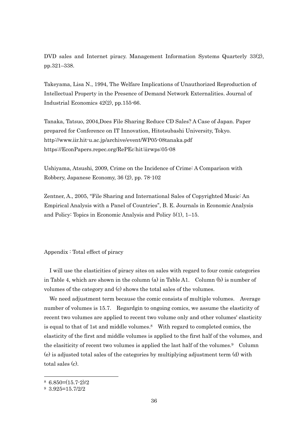DVD sales and Internet piracy. Management Information Systems Quarterly 33(2), pp.321–338.

Takeyama, Lisa N., 1994, The Welfare Implications of Unauthorized Reproduction of Intellectual Property in the Presence of Demand Network Externalities. Journal of Industrial Economics 42(2), pp.155-66.

Tanaka, Tatsuo, 2004,Does File Sharing Reduce CD Sales? A Case of Japan. Paper prepared for Conference on IT Innovation, Hitotsubashi University, Tokyo. http://www.iir.hit-u.ac.jp/archive/event/WP05-08tanaka.pdf https://EconPapers.repec.org/RePEc:hit:iirwps:05-08

Ushiyama, Atsushi, 2009, Crime on the Incidence of Crime: A Comparison with Robbery, Japanese Economy, 36 (2), pp. 78-102

Zentner, A., 2005, "File Sharing and International Sales of Copyrighted Music: An Empirical Analysis with a Panel of Countries'', B. E. Journals in Economic Analysis and Policy: Topics in Economic Analysis and Policy 5(1), 1–15.

#### Appendix : Total effect of piracy

I will use the elasticities of piracy sites on sales with regard to four comic categories in Table 4, which are shown in the column (a) in Table A1. Column (b) is number of volumes of the category and (c) shows the total sales of the volumes.

We need adjustment term because the comic consists of multiple volumes. Average number of volumes is 15.7. Regardgin to ongoing comics, we assume the elasticity of recent two volumes are applied to recent two volume only and other volumes' elasticity is equal to that of 1st and middle volumes.8 With regard to completed comics, the elasticity of the first and middle volumes is applied to the first half of the volumes, and the elasiticity of recent two volumes is applied the last half of the volumes.9 Column (e) is adjusted total sales of the categories by multiplying adjustment term (d) with total sales (c).

1

 $86.850=(15.7-2)/2$ 

<sup>9</sup> 3.925=15.7/2/2